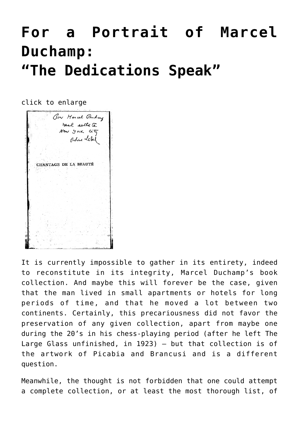# **[For a Portrait of Marcel](https://www.toutfait.com/for-a-portrait-of-marcel-duchampthe-dedications-speak/) [Duchamp:](https://www.toutfait.com/for-a-portrait-of-marcel-duchampthe-dedications-speak/) ["The Dedications Speak"](https://www.toutfait.com/for-a-portrait-of-marcel-duchampthe-dedications-speak/)**

click to enlarge

| Pow Marcel Buchang    |                |  |
|-----------------------|----------------|--|
|                       | real either te |  |
|                       | New york Gity  |  |
|                       | order Lebel    |  |
|                       |                |  |
|                       |                |  |
|                       |                |  |
|                       |                |  |
| CHANTAGE DE LA BEAUTÉ |                |  |
|                       |                |  |
|                       |                |  |
|                       |                |  |
|                       |                |  |
|                       |                |  |
|                       |                |  |
|                       |                |  |
|                       |                |  |
|                       |                |  |
|                       |                |  |
|                       |                |  |
|                       |                |  |
|                       |                |  |
|                       |                |  |

It is currently impossible to gather in its entirety, indeed to reconstitute in its integrity, Marcel Duchamp's book collection. And maybe this will forever be the case, given that the man lived in small apartments or hotels for long periods of time, and that he moved a lot between two continents. Certainly, this precariousness did not favor the preservation of any given collection, apart from maybe one during the 20's in his chess-playing period (after he left The Large Glass unfinished, in 1923) – but that collection is of the artwork of Picabia and Brancusi and is a different question.

Meanwhile, the thought is not forbidden that one could attempt a complete collection, or at least the most thorough list, of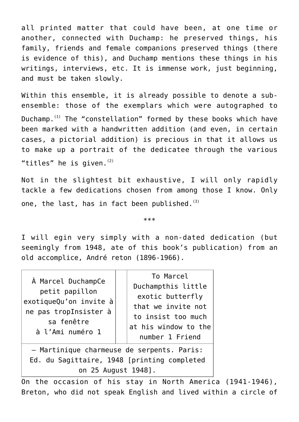all printed matter that could have been, at one time or another, connected with Duchamp: he preserved things, his family, friends and female companions preserved things (there is evidence of this), and Duchamp mentions these things in his writings, interviews, etc. It is immense work, just beginning, and must be taken slowly.

Within this ensemble, it is already possible to denote a subensemble: those of the exemplars which were autographed to Duchamp.[\(1\)](#page-10-0) The "constellation" formed by these books which have been marked with a handwritten addition (and even, in certain cases, a pictorial addition) is precious in that it allows us to make up a portrait of the dedicatee through the various "titles" he is  $given.$ <sup>[\(2\)](#page-11-0)</sup>

Not in the slightest bit exhaustive, I will only rapidly tackle a few dedications chosen from among those I know. Only one, the last, has in fact been published. $(3)$ 

\*\*\*

I will egin very simply with a non-dated dedication (but seemingly from 1948, ate of this book's publication) from an old accomplice, André reton (1896-1966).

| À Marcel DuchampCe<br>petit papillon<br>$exotiqueQu'on$ invite $a$<br>ne pas tropInsister à<br>sa fenêtre<br>à l'Ami numéro 1 | To Marcel<br>Duchampthis little<br>exotic butterfly<br>that we invite not<br>to insist too much<br>at his window to the<br>number 1 Friend |  |  |
|-------------------------------------------------------------------------------------------------------------------------------|--------------------------------------------------------------------------------------------------------------------------------------------|--|--|
| - Martinique charmeuse de serpents. Paris:                                                                                    |                                                                                                                                            |  |  |

– Martinique charmeuse de serpents. Paris: Ed. du Sagittaire, 1948 [printing completed on 25 August 1948].

On the occasion of his stay in North America (1941-1946), Breton, who did not speak English and lived within a circle of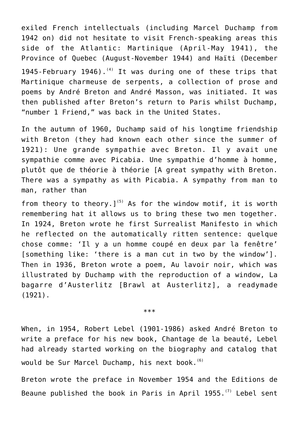exiled French intellectuals (including Marcel Duchamp from 1942 on) did not hesitate to visit French-speaking areas this side of the Atlantic: Martinique (April-May 1941), the Province of Quebec (August-November 1944) and Haïti (December 1945-February 1946).<sup>[\(4\)](#page-11-2)</sup> It was during one of these trips that Martinique charmeuse de serpents, a collection of prose and poems by André Breton and André Masson, was initiated. It was then published after Breton's return to Paris whilst Duchamp, "number 1 Friend," was back in the United States.

In the autumn of 1960, Duchamp said of his longtime friendship with Breton (they had known each other since the summer of 1921): Une grande sympathie avec Breton. Il y avait une sympathie comme avec Picabia. Une sympathie d'homme à homme, plutôt que de théorie à théorie [A great sympathy with Breton. There was a sympathy as with Picabia. A sympathy from man to man, rather than

from theory to theory.]<sup>[\(5\)](#page-12-0)</sup> As for the window motif, it is worth remembering hat it allows us to bring these two men together. In 1924, Breton wrote he first Surrealist Manifesto in which he reflected on the automatically ritten sentence: quelque chose comme: 'Il y a un homme coupé en deux par la fenêtre' [something like: 'there is a man cut in two by the window']. Then in 1936, Breton wrote a poem, Au lavoir noir, which was illustrated by Duchamp with the reproduction of a window, La bagarre d'Austerlitz [Brawl at Austerlitz], a readymade (1921).

\*\*\*

When, in 1954, Robert Lebel (1901-1986) asked André Breton to write a preface for his new book, Chantage de la beauté, Lebel had already started working on the biography and catalog that would be Sur Marcel Duchamp, his next book.<sup>[\(6\)](#page-12-1)</sup>

Breton wrote the preface in November 1954 and the Editions de Beaune published the book in Paris in April 1955.<sup>[\(7\)](#page-12-2)</sup> Lebel sent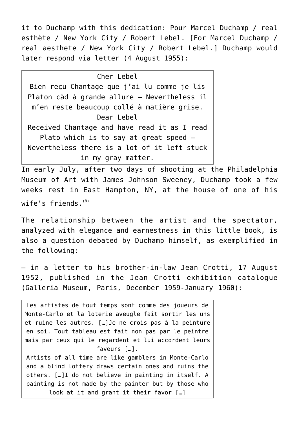it to Duchamp with this dedication: Pour Marcel Duchamp / real esthète / New York City / Robert Lebel. [For Marcel Duchamp / real aesthete / New York City / Robert Lebel.] Duchamp would later respond via letter (4 August 1955):

Cher Lebel Bien reçu Chantage que j'ai lu comme je lis Platon càd à grande allure – Nevertheless il m'en reste beaucoup collé à matière grise. Dear Lebel Received Chantage and have read it as I read Plato which is to say at great speed – Nevertheless there is a lot of it left stuck in my gray matter.

In early July, after two days of shooting at the Philadelphia Museum of Art with James Johnson Sweeney, Duchamp took a few weeks rest in East Hampton, NY, at the house of one of his wife's friends. $(8)$ 

The relationship between the artist and the spectator, analyzed with elegance and earnestness in this little book, is also a question debated by Duchamp himself, as exemplified in the following:

– in a letter to his brother-in-law Jean Crotti, 17 August 1952, published in the Jean Crotti exhibition catalogue (Galleria Museum, Paris, December 1959-January 1960):

Les artistes de tout temps sont comme des joueurs de Monte-Carlo et la loterie aveugle fait sortir les uns et ruine les autres. […]Je ne crois pas à la peinture en soi. Tout tableau est fait non pas par le peintre mais par ceux qui le regardent et lui accordent leurs faveurs […]. Artists of all time are like gamblers in Monte-Carlo and a blind lottery draws certain ones and ruins the others. […]I do not believe in painting in itself. A painting is not made by the painter but by those who look at it and grant it their favor […]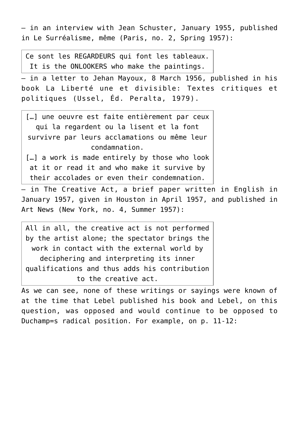– in an interview with Jean Schuster, January 1955, published in Le Surréalisme, même (Paris, no. 2, Spring 1957):

Ce sont les REGARDEURS qui font les tableaux. It is the ONLOOKERS who make the paintings.

– in a letter to Jehan Mayoux, 8 March 1956, published in his book La Liberté une et divisible: Textes critiques et politiques (Ussel, Éd. Peralta, 1979).

[...] une oeuvre est faite entièrement par ceux qui la regardent ou la lisent et la font survivre par leurs acclamations ou même leur condamnation. [...] a work is made entirely by those who look

at it or read it and who make it survive by their accolades or even their condemnation.

– in The Creative Act, a brief paper written in English in January 1957, given in Houston in April 1957, and published in Art News (New York, no. 4, Summer 1957):

All in all, the creative act is not performed by the artist alone; the spectator brings the work in contact with the external world by deciphering and interpreting its inner qualifications and thus adds his contribution to the creative act.

As we can see, none of these writings or sayings were known of at the time that Lebel published his book and Lebel, on this question, was opposed and would continue to be opposed to Duchamp=s radical position. For example, on p. 11-12: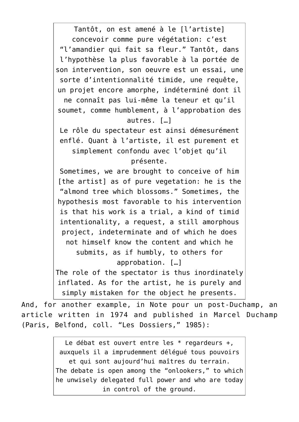Tantôt, on est amené à le [l'artiste] concevoir comme pure végétation: c'est "l'amandier qui fait sa fleur." Tantôt, dans l'hypothèse la plus favorable à la portée de son intervention, son oeuvre est un essai, une sorte d'intentionnalité timide, une requête, un projet encore amorphe, indéterminé dont il ne connaît pas lui-même la teneur et qu'il soumet, comme humblement, à l'approbation des autres. […] Le rôle du spectateur est ainsi démesurément enflé. Quant à l'artiste, il est purement et simplement confondu avec l'objet qu'il présente. Sometimes, we are brought to conceive of him [the artist] as of pure vegetation: he is the "almond tree which blossoms." Sometimes, the hypothesis most favorable to his intervention is that his work is a trial, a kind of timid intentionality, a request, a still amorphous project, indeterminate and of which he does not himself know the content and which he submits, as if humbly, to others for approbation. […] The role of the spectator is thus inordinately inflated. As for the artist, he is purely and simply mistaken for the object he presents.

And, for another example, in Note pour un post-Duchamp, an article written in 1974 and published in Marcel Duchamp (Paris, Belfond, coll. "Les Dossiers," 1985):

> Le débat est ouvert entre les \* regardeurs +, auxquels il a imprudemment délégué tous pouvoirs et qui sont aujourd'hui maîtres du terrain. The debate is open among the "onlookers," to which he unwisely delegated full power and who are today in control of the ground.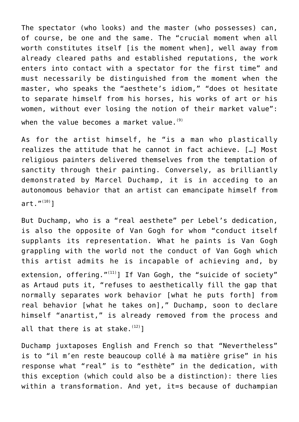The spectator (who looks) and the master (who possesses) can, of course, be one and the same. The "crucial moment when all worth constitutes itself [is the moment when], well away from already cleared paths and established reputations, the work enters into contact with a spectator for the first time" and must necessarily be distinguished from the moment when the master, who speaks the "aesthete's idiom," "does ot hesitate to separate himself from his horses, his works of art or his women, without ever losing the notion of their market value": when the value becomes a market value. $(9)$ 

As for the artist himself, he "is a man who plastically realizes the attitude that he cannot in fact achieve. […] Most religious painters delivered themselves from the temptation of sanctity through their painting. Conversely, as brilliantly demonstrated by Marcel Duchamp, it is in acceding to an autonomous behavior that an artist can emancipate himself from  $art.$ " $(10)$ ]

But Duchamp, who is a "real aesthete" per Lebel's dedication, is also the opposite of Van Gogh for whom "conduct itself supplants its representation. What he paints is Van Gogh grappling with the world not the conduct of Van Gogh which this artist admits he is incapable of achieving and, by extension, offering." $(11)$ ] If Van Gogh, the "suicide of society" as Artaud puts it, "refuses to aesthetically fill the gap that normally separates work behavior [what he puts forth] from real behavior [what he takes on]," Duchamp, soon to declare himself "anartist," is already removed from the process and all that there is at stake. $(12)$ ]

Duchamp juxtaposes English and French so that "Nevertheless" is to "il m'en reste beaucoup collé à ma matière grise" in his response what "real" is to "esthète" in the dedication, with this exception (which could also be a distinction): there lies within a transformation. And yet, it=s because of duchampian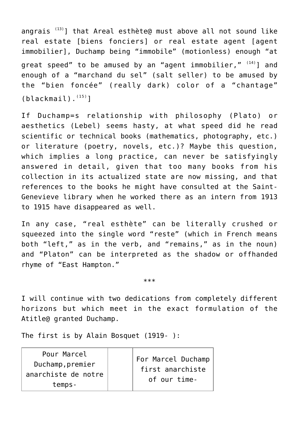angrais [\(13\)](#page-13-3)] that Areal esthète@ must above all not sound like real estate [biens fonciers] or real estate agent [agent immobilier], Duchamp being "immobile" (motionless) enough "at great speed" to be amused by an "agent immobilier,"  $(14)$ ] and enough of a "marchand du sel" (salt seller) to be amused by the "bien foncée" (really dark) color of a "chantage"  $(blackmail)$ .<sup> $(15)$ </sup>]

If Duchamp=s relationship with philosophy (Plato) or aesthetics (Lebel) seems hasty, at what speed did he read scientific or technical books (mathematics, photography, etc.) or literature (poetry, novels, etc.)? Maybe this question, which implies a long practice, can never be satisfyingly answered in detail, given that too many books from his collection in its actualized state are now missing, and that references to the books he might have consulted at the Saint-Genevieve library when he worked there as an intern from 1913 to 1915 have disappeared as well.

In any case, "real esthète" can be literally crushed or squeezed into the single word "reste" (which in French means both "left," as in the verb, and "remains," as in the noun) and "Platon" can be interpreted as the shadow or offhanded rhyme of "East Hampton."

\*\*\*

I will continue with two dedications from completely different horizons but which meet in the exact formulation of the Atitle@ granted Duchamp.

The first is by Alain Bosquet (1919- ):

Pour Marcel Duchamp, premier anarchiste de notre temps-

For Marcel Duchamp first anarchiste of our time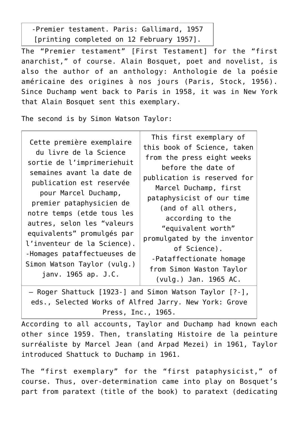-Premier testament. Paris: Gallimard, 1957 [printing completed on 12 February 1957].

The "Premier testament" [First Testament] for the "first anarchist," of course. Alain Bosquet, poet and novelist, is also the author of an anthology: Anthologie de la poésie américaine des origines à nos jours (Paris, Stock, 1956). Since Duchamp went back to Paris in 1958, it was in New York that Alain Bosquet sent this exemplary.

The second is by Simon Watson Taylor:

Cette première exemplaire du livre de la Science sortie de l'imprimeriehuit semaines avant la date de publication est reservée pour Marcel Duchamp, premier pataphysicien de notre temps (etde tous les autres, selon les "valeurs equivalents" promulgés par l'inventeur de la Science). -Homages pataffectueuses de Simon Watson Taylor (vulg.) janv. 1965 ap. J.C. This first exemplary of this book of Science, taken from the press eight weeks before the date of publication is reserved for Marcel Duchamp, first pataphysicist of our time (and of all others, according to the "equivalent worth" promulgated by the inventor of Science). -Pataffectionate homage from Simon Waston Taylor (vulg.) Jan. 1965 AC.

– Roger Shattuck [1923-] and Simon Watson Taylor [?-], eds., Selected Works of Alfred Jarry. New York: Grove Press, Inc., 1965.

According to all accounts, Taylor and Duchamp had known each other since 1959. Then, translating Histoire de la peinture surréaliste by Marcel Jean (and Arpad Mezei) in 1961, Taylor introduced Shattuck to Duchamp in 1961.

The "first exemplary" for the "first pataphysicist," of course. Thus, over-determination came into play on Bosquet's part from paratext (title of the book) to paratext (dedicating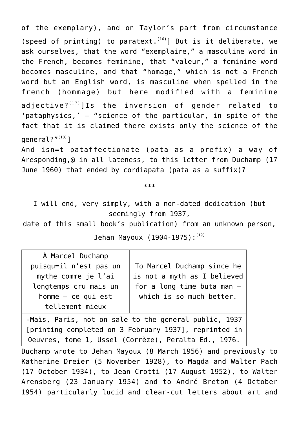of the exemplary), and on Taylor's part from circumstance (speed of printing) to paratext.<sup>[\(16\)](#page-14-1)</sup>] But is it deliberate, we ask ourselves, that the word "exemplaire," a masculine word in the French, becomes feminine, that "valeur," a feminine word becomes masculine, and that "homage," which is not a French word but an English word, is masculine when spelled in the french (hommage) but here modified with a feminine adjective? $(17)$ ]Is the inversion of gender related to 'pataphysics,' – "science of the particular, in spite of the fact that it is claimed there exists only the science of the general?"<sup>[\(18\)](#page-14-3)</sup>] And isn=t pataffectionate (pata as a prefix) a way of Aresponding,@ in all lateness, to this letter from Duchamp (17

June 1960) that ended by cordiapata (pata as a suffix)?

\*\*\*

I will end, very simply, with a non-dated dedication (but seemingly from 1937,

date of this small book's publication) from an unknown person,

Jehan Mayoux (1904-1975): [\(19\)](#page-15-0)

| À Marcel Duchamp       |                              |
|------------------------|------------------------------|
| puisqu=il n'est pas un | To Marcel Duchamp since he   |
| mythe comme je l'ai    | is not a myth as I believed  |
| longtemps cru mais un  | for a long time buta man $-$ |
| $home - ce qui est$    | which is so much better.     |
| tellement mieux        |                              |
|                        |                              |

-Maïs, Paris, not on sale to the general public, 1937 [printing completed on 3 February 1937], reprinted in Oeuvres, tome 1, Ussel (Corrèze), Peralta Ed., 1976.

Duchamp wrote to Jehan Mayoux (8 March 1956) and previously to Katherine Dreier (5 November 1928), to Magda and Walter Pach (17 October 1934), to Jean Crotti (17 August 1952), to Walter Arensberg (23 January 1954) and to André Breton (4 October 1954) particularly lucid and clear-cut letters about art and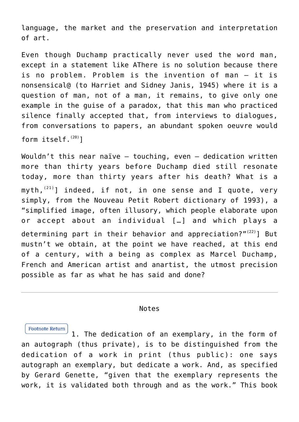language, the market and the preservation and interpretation of art.

Even though Duchamp practically never used the word man, except in a statement like AThere is no solution because there is no problem. Problem is the invention of man – it is nonsensical@ (to Harriet and Sidney Janis, 1945) where it is a question of man, not of a man, it remains, to give only one example in the guise of a paradox, that this man who practiced silence finally accepted that, from interviews to dialogues, from conversations to papers, an abundant spoken oeuvre would form itself. $(20)$ ]

Wouldn't this near naïve – touching, even – dedication written more than thirty years before Duchamp died still resonate today, more than thirty years after his death? What is a  $mvth,$ <sup>[\(21\)](#page-15-2)</sup>] indeed, if not, in one sense and I quote, very simply, from the Nouveau Petit Robert dictionary of 1993), a "simplified image, often illusory, which people elaborate upon or accept about an individual […] and which plays a determining part in their behavior and appreciation?" $(22)$ ] But mustn't we obtain, at the point we have reached, at this end of a century, with a being as complex as Marcel Duchamp, French and American artist and anartist, the utmost precision possible as far as what he has said and done?

#### Notes

<span id="page-10-0"></span>**Footnote Return** 1. The dedication of an exemplary, in the form of an autograph (thus private), is to be distinguished from the dedication of a work in print (thus public): one says autograph an exemplary, but dedicate a work. And, as specified by Gerard Genette, "given that the exemplary represents the work, it is validated both through and as the work." This book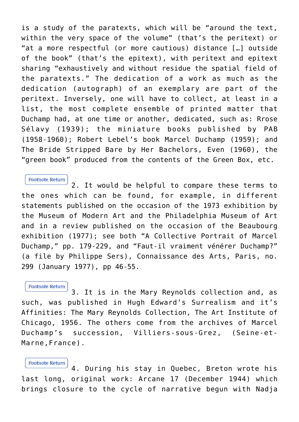is a study of the paratexts, which will be "around the text, within the very space of the volume" (that's the peritext) or "at a more respectful (or more cautious) distance […] outside of the book" (that's the epitext), with peritext and epitext sharing "exhaustively and without residue the spatial field of the paratexts." The dedication of a work as much as the dedication (autograph) of an exemplary are part of the peritext. Inversely, one will have to collect, at least in a list, the most complete ensemble of printed matter that Duchamp had, at one time or another, dedicated, such as: Rrose Sélavy (1939); the miniature books published by PAB (1958-1960); Robert Lebel's book Marcel Duchamp (1959); and The Bride Stripped Bare by Her Bachelors, Even (1960), the "green book" produced from the contents of the Green Box, etc.

**Footnote Return** 

<span id="page-11-0"></span>2. It would be helpful to compare these terms to the ones which can be found, for example, in different statements published on the occasion of the 1973 exhibition by the Museum of Modern Art and the Philadelphia Museum of Art and in a review published on the occasion of the Beaubourg exhibition (1977); see both "A Collective Portrait of Marcel Duchamp," pp. 179-229, and "Faut-il vraiment vénérer Duchamp?" (a file by Philippe Sers), Connaissance des Arts, Paris, no. 299 (January 1977), pp 46-55.

<span id="page-11-1"></span>Footnote Return 3. It is in the Mary Reynolds collection and, as such, was published in Hugh Edward's Surrealism and it's Affinities: The Mary Reynolds Collection, The Art Institute of Chicago, 1956. The others come from the archives of Marcel Duchamp's succession, Villiers-sous-Grez, (Seine-et-Marne,France).

<span id="page-11-2"></span>Footnote Return 4. During his stay in Quebec, Breton wrote his last long, original work: Arcane 17 (December 1944) which brings closure to the cycle of narrative begun with Nadja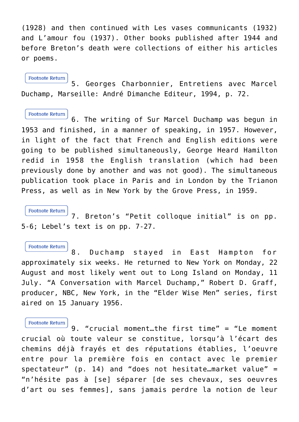(1928) and then continued with Les vases communicants (1932) and L'amour fou (1937). Other books published after 1944 and before Breton's death were collections of either his articles or poems.

<span id="page-12-0"></span>**Footnote Return** 5. Georges Charbonnier, Entretiens avec Marcel Duchamp, Marseille: André Dimanche Editeur, 1994, p. 72.

<span id="page-12-1"></span>**Footnote Return** 6. The writing of Sur Marcel Duchamp was begun in 1953 and finished, in a manner of speaking, in 1957. However, in light of the fact that French and English editions were going to be published simultaneously, George Heard Hamilton redid in 1958 the English translation (which had been previously done by another and was not good). The simultaneous publication took place in Paris and in London by the Trianon Press, as well as in New York by the Grove Press, in 1959.

<span id="page-12-2"></span>**Footnote Return** 7. Breton's "Petit colloque initial" is on pp. 5-6; Lebel's text is on pp. 7-27.

<span id="page-12-3"></span>**Footnote Return** 8. Duchamp stayed in East Hampton for approximately six weeks. He returned to New York on Monday, 22 August and most likely went out to Long Island on Monday, 11 July. "A Conversation with Marcel Duchamp," Robert D. Graff, producer, NBC, New York, in the "Elder Wise Men" series, first aired on 15 January 1956.

**Footnote Return** 

<span id="page-12-4"></span>9. "crucial moment…the first time" = "Le moment crucial où toute valeur se constitue, lorsqu'à l'écart des chemins déjà frayés et des réputations établies, l'oeuvre entre pour la première fois en contact avec le premier spectateur" (p. 14) and "does not hesitate…market value" = "n'hésite pas à [se] séparer [de ses chevaux, ses oeuvres d'art ou ses femmes], sans jamais perdre la notion de leur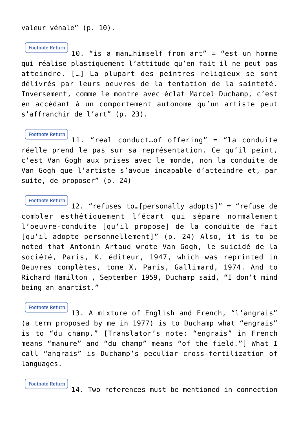valeur vénale" (p. 10).

## **Footnote Return**

<span id="page-13-0"></span>10. "is a man…himself from art" = "est un homme qui réalise plastiquement l'attitude qu'en fait il ne peut pas atteindre. […] La plupart des peintres religieux se sont délivrés par leurs oeuvres de la tentation de la sainteté. Inversement, comme le montre avec éclat Marcel Duchamp, c'est en accédant à un comportement autonome qu'un artiste peut s'affranchir de l'art" (p. 23).

#### **Footnote Return**

<span id="page-13-1"></span>11. "real conduct…of offering" = "la conduite réelle prend le pas sur sa représentation. Ce qu'il peint, c'est Van Gogh aux prises avec le monde, non la conduite de Van Gogh que l'artiste s'avoue incapable d'atteindre et, par suite, de proposer" (p. 24)

# **Footnote Return**

<span id="page-13-2"></span>12. "refuses to…[personally adopts]" = "refuse de combler esthétiquement l'écart qui sépare normalement l'oeuvre-conduite [qu'il propose] de la conduite de fait [qu'il adopte personnellement]" (p. 24) Also, it is to be noted that Antonin Artaud wrote Van Gogh, le suicidé de la société, Paris, K. éditeur, 1947, which was reprinted in Oeuvres complètes, tome X, Paris, Gallimard, 1974. And to Richard Hamilton , September 1959, Duchamp said, "I don't mind being an anartist."

<span id="page-13-3"></span>**Footnote Return** 13. A mixture of English and French, "l'angrais" (a term proposed by me in 1977) is to Duchamp what "engrais" is to "du champ." [Translator's note: "engrais" in French means "manure" and "du champ" means "of the field."] What I call "angrais" is Duchamp's peculiar cross-fertilization of languages.

<span id="page-13-4"></span>**Footnote Return** 

14. Two references must be mentioned in connection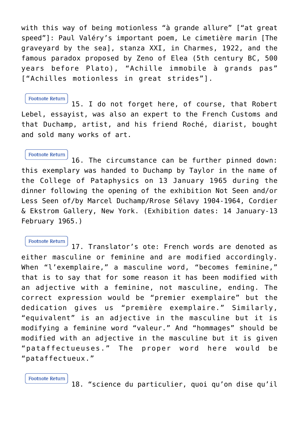with this way of being motionless "à grande allure" ["at great speed"]: Paul Valéry's important poem, Le cimetière marin [The graveyard by the sea], stanza XXI, in Charmes, 1922, and the famous paradox proposed by Zeno of Elea (5th century BC, 500 years before Plato), "Achille immobile à grands pas" ["Achilles motionless in great strides"].

## **Footnote Return**

<span id="page-14-0"></span>15. I do not forget here, of course, that Robert Lebel, essayist, was also an expert to the French Customs and that Duchamp, artist, and his friend Roché, diarist, bought and sold many works of art.

<span id="page-14-1"></span>**Footnote Return** 16. The circumstance can be further pinned down: this exemplary was handed to Duchamp by Taylor in the name of the College of Pataphysics on 13 January 1965 during the dinner following the opening of the exhibition Not Seen and/or Less Seen of/by Marcel Duchamp/Rrose Sélavy 1904-1964, Cordier & Ekstrom Gallery, New York. (Exhibition dates: 14 January-13 February 1965.)

<span id="page-14-2"></span>**Footnote Return** 17. Translator's ote: French words are denoted as either masculine or feminine and are modified accordingly. When "l'exemplaire," a masculine word, "becomes feminine," that is to say that for some reason it has been modified with an adjective with a feminine, not masculine, ending. The correct expression would be "premier exemplaire" but the dedication gives us "première exemplaire." Similarly, "equivalent" is an adjective in the masculine but it is modifying a feminine word "valeur." And "hommages" should be modified with an adjective in the masculine but it is given "pataffectueuses." The proper word here would be "pataffectueux."

<span id="page-14-3"></span>**Footnote Return** 18. "science du particulier, quoi qu'on dise qu'il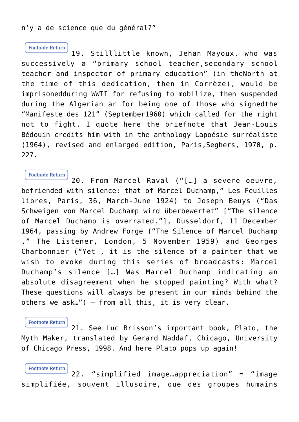# n'y a de science que du général?"

#### **Footnote Return**

<span id="page-15-0"></span>19. Stilllittle known, Jehan Mayoux, who was successively a "primary school teacher,secondary school teacher and inspector of primary education" (in theNorth at the time of this dedication, then in Corrèze), would be imprisonedduring WWII for refusing to mobilize, then suspended during the Algerian ar for being one of those who signedthe "Manifeste des 121" (September1960) which called for the right not to fight. I quote here the briefnote that Jean-Louis Bédouin credits him with in the anthology Lapoésie surréaliste (1964), revised and enlarged edition, Paris,Seghers, 1970, p. 227.

<span id="page-15-1"></span>**Footnote Return** 20. From Marcel Raval ("[…] a severe oeuvre, befriended with silence: that of Marcel Duchamp," Les Feuilles libres, Paris, 36, March-June 1924) to Joseph Beuys ("Das Schweigen von Marcel Duchamp wird überbewertet" ["The silence of Marcel Duchamp is overrated."], Dusseldorf, 11 December 1964, passing by Andrew Forge ("The Silence of Marcel Duchamp ," The Listener, London, 5 November 1959) and Georges Charbonnier ("Yet , it is the silence of a painter that we wish to evoke during this series of broadcasts: Marcel Duchamp's silence […] Was Marcel Duchamp indicating an absolute disagreement when he stopped painting? With what? These questions will always be present in our minds behind the others we ask...")  $-$  from all this, it is very clear.

<span id="page-15-2"></span>**Footnote Return** 21. See Luc Brisson's important book, Plato, the Myth Maker, translated by Gerard Naddaf, Chicago, University of Chicago Press, 1998. And here Plato pops up again!

<span id="page-15-3"></span>**Footnote Return** 22. "simplified image…appreciation" = "image simplifiée, souvent illusoire, que des groupes humains